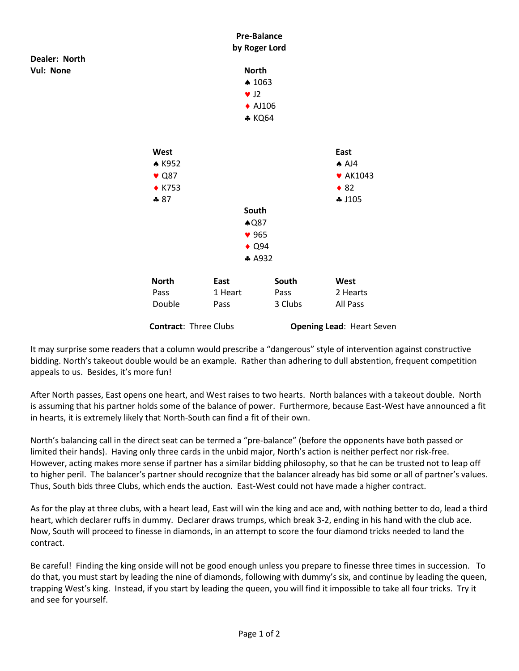

It may surprise some readers that a column would prescribe a "dangerous" style of intervention against constructive bidding. North's takeout double would be an example. Rather than adhering to dull abstention, frequent competition appeals to us. Besides, it's more fun!

After North passes, East opens one heart, and West raises to two hearts. North balances with a takeout double. North is assuming that his partner holds some of the balance of power. Furthermore, because East-West have announced a fit in hearts, it is extremely likely that North-South can find a fit of their own.

North's balancing call in the direct seat can be termed a "pre-balance" (before the opponents have both passed or limited their hands). Having only three cards in the unbid major, North's action is neither perfect nor risk-free. However, acting makes more sense if partner has a similar bidding philosophy, so that he can be trusted not to leap off to higher peril. The balancer's partner should recognize that the balancer already has bid some or all of partner's values. Thus, South bids three Clubs, which ends the auction. East-West could not have made a higher contract.

As for the play at three clubs, with a heart lead, East will win the king and ace and, with nothing better to do, lead a third heart, which declarer ruffs in dummy. Declarer draws trumps, which break 3-2, ending in his hand with the club ace. Now, South will proceed to finesse in diamonds, in an attempt to score the four diamond tricks needed to land the contract.

Be careful! Finding the king onside will not be good enough unless you prepare to finesse three times in succession. To do that, you must start by leading the nine of diamonds, following with dummy's six, and continue by leading the queen, trapping West's king. Instead, if you start by leading the queen, you will find it impossible to take all four tricks. Try it and see for yourself.